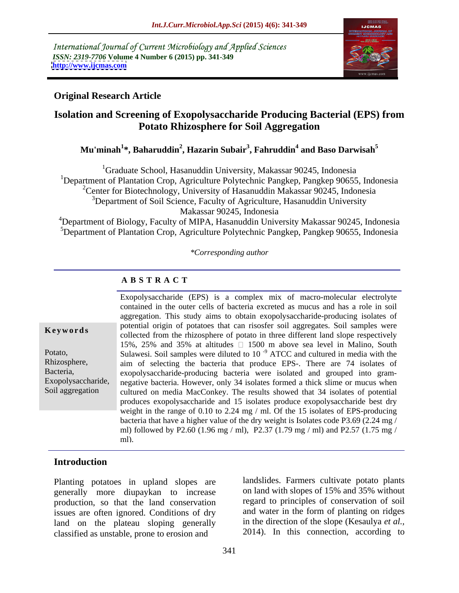International Journal of Current Microbiology and Applied Sciences *ISSN: 2319-7706* **Volume 4 Number 6 (2015) pp. 341-349 <http://www.ijcmas.com>**



# **Original Research Article**

# **Isolation and Screening of Exopolysaccharide Producing Bacterial (EPS) from Potato Rhizosphere for Soil Aggregation**

## **Mu'minah<sup>1</sup> \*, Baharuddin<sup>2</sup> , Hazarin Subair<sup>3</sup> , Fahruddin<sup>4</sup> and Baso Darwisah<sup>5</sup>**

<sup>1</sup>Graduate School, Hasanuddin University, Makassar 90245, Indonesia

<sup>1</sup>Department of Plantation Crop, Agriculture Polytechnic Pangkep, Pangkep 90655, Indonesia

<sup>2</sup>Center for Biotechnology, University of Hasanuddin Makassar 90245, Indonesia

<sup>3</sup>Department of Soil Science, Faculty of Agriculture, Hasanuddin University Makassar 90245, Indonesia

<sup>4</sup>Department of Biology, Faculty of MIPA, Hasanuddin University Makassar 90245, Indonesia <sup>5</sup>Department of Plantation Crop, Agriculture Polytechnic Pangkep, Pangkep 90655, Indonesia

*\*Corresponding author*

# **A B S T R A C T**

Soil aggregation

Exopolysaccharide (EPS) is a complex mix of macro-molecular electrolyte contained in the outer cells of bacteria excreted as mucus and has a role in soil aggregation. This study aims to obtain exopolysaccharide-producing isolates of potential origin of potatoes that can risosfer soil aggregates. Soil samples were **Keywords** potential origin of potations that can risolate some aggregates. Some samples were collected from the rhizosphere of potato in three different land slope respectively 15%, 25% and 35% at altitudes  $\Box$  1500 m above sea level in Malino, South Potato, Sulawesi. Soil samples were diluted to 10<sup>-9</sup> ATCC and cultured in media with the Rhizosphere, aim of selecting the bacteria that produce EPS-. There are 74 isolates of Bacteria, exopolysaccharide-producing bacteria were isolated and grouped into gram-Exopolysaccharide, negative bacteria. However, only 34 isolates formed a thick slime or mucus when cultured on media MacConkey. The results showed that 34 isolates of potential produces exopolysaccharide and 15 isolates produce exopolysaccharide best dry weight in the range of 0.10 to 2.24 mg / ml. Of the 15 isolates of EPS-producing bacteria that have a higher value of the dry weight is Isolates code P3.69 (2.24 mg / ml) followed by P2.60 (1.96 mg / ml), P2.37 (1.79 mg / ml) and P2.57 (1.75 mg / ml).

# **Introduction**

Planting potatoes in upland slopes are generally more diupaykan to increase production, so that the land conservation issues are often ignored. Conditions of dry land on the plateau sloping generally classified as unstable, prone to erosion and

landslides. Farmers cultivate potato plants on land with slopes of 15% and 35% without regard to principles of conservation of soil and water in the form of planting on ridges in the direction of the slope (Kesaulya *et al.,* 2014). In this connection, according to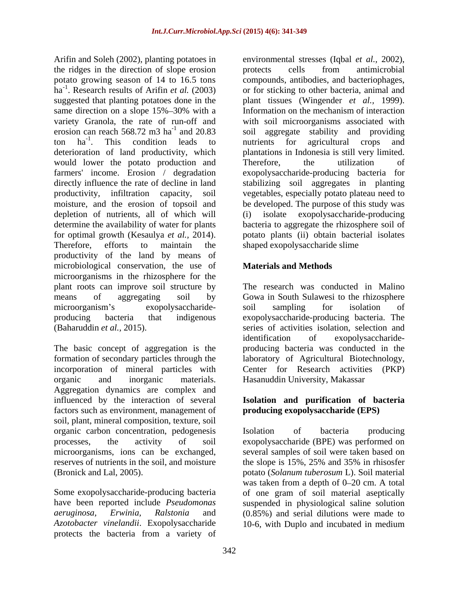the ridges in the direction of slope erosion suggested that planting potatoes done in the plant tissues (Wingender *et al.*, 1999). same direction on a slope 15%-30% with a<br>
uniformation on the mechanism of interaction<br>
variety Granola, the rate of run-off and<br>
with soil microorganisms associated with would lower the potato production and Therefore, the utilization of depletion of nutrients, all of which will for optimal growth (Kesaulya *et al.*, 2014). potato plants (ii) obtain bacterial isolates Therefore, efforts to maintain the shaped exopolysaccharide slime productivity of the land by means of microbiological conservation, the use of **Materials and Methods** microorganisms in the rhizosphere for the plant roots can improve soil structure by means of aggregating soil by Gowa in South Sulawesi to the rhizosphere microorganism's exopolysaccharide- soil sampling for isolation of producing bacteria that indigenous exopolysaccharide-producing bacteria. The (Baharuddin *et al.,* 2015). series of activities isolation, selection and

The basic concept of aggregation is the formation of secondary particles through the laboratory of Agricultural Biotechnology, incorporation of mineral particles with Center for Research activities (PKP) organic and inorganic materials. Hasanuddin University, Makassar Aggregation dynamics are complex and influenced by the interaction of several **Isolation and purification of bacteria** factors such as environment, management of soil, plant, mineral composition, texture, soil organic carbon concentration, pedogenesis processes, the activity of soil exopolysaccharide (BPE) was performed on microorganisms, ions can be exchanged, several samples of soil were taken based on reserves of nutrients in the soil, and moisture the slope is 15%, 25% and 35% in rhisosfer

*Azotobacter vinelandii*. Exopolysaccharide 10-6, with Duplo and incubated in mediumprotects the bacteria from a variety of

Arifin and Soleh (2002), planting potatoes in environmental stresses (Iqbal *et al.,* 2002), potato growing season of 14 to 16.5 tons compounds, antibodies, and bacteriophages, ha<sup>-1</sup>. Research results of Arifin *et al.* (2003) or for sticking to other bacteria, animal and variety Granola, the rate of run-off and with soil microorganisms associated with erosion can reach  $568.72 \text{ m}^3$  ha<sup>-1</sup> and  $20.83$  soil aggregate stability and providing ton ha<sup>-1</sup>. This condition leads to mutrients for agricultural crops and <sup>-1</sup> This condition loods to nutrights for explaining arons and . This condition leads to mutrients for agricultural crops and deterioration of land productivity, which plantations in Indonesia is still very limited. farmers' income. Erosion / degradation exopolysaccharide-producing bacteria for directly influence the rate of decline in land stabilizing soil aggregates in planting productivity, infiltration capacity, soil vegetables, especially potato plateau need to moisture, and the erosion of topsoil and be developed. The purpose of this study was determine the availability of water for plants bacteria to aggregate the rhizosphere soil of protects cells from antimicrobial plant tissues (Wingender *et al.,* 1999). Information on the mechanism of interaction nutrients for agricultural crops and Therefore, the utilization of exopolysaccharide-producing potato plants (ii) obtain bacterial isolates shaped exopolysaccharide slime

# **Materials and Methods**

The research was conducted in Malino soil sampling for isolation of identification of exopolysaccharide producing bacteria was conducted in the

# **producing exopolysaccharide (EPS)**

(Bronick and Lal, 2005). potato (*Solanum tuberosum* L). Soil material Some exopolysaccharide-producing bacteria of one gram of soil material aseptically have been reported include *Pseudomonas*  suspended in physiological saline solution *aeruginosa, Erwinia, Ralstonia* and (0.85%) and serial dilutions were made to Isolation of bacteria producing the slope is 15%, 25% and 35% in rhisosfer was taken from a depth of  $0-20$  cm. A total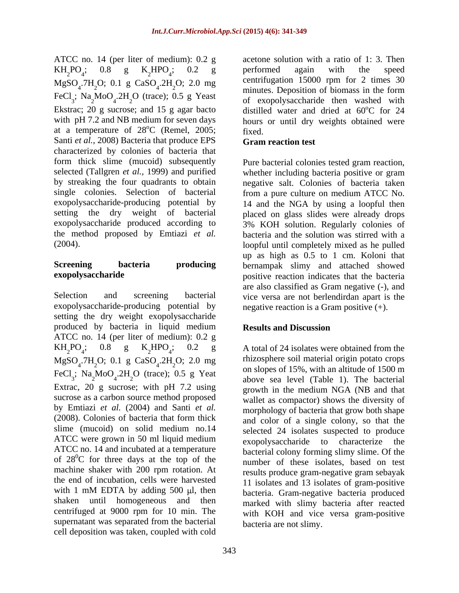ATCC no. 14 (per liter of medium): 0.2 g Santi *et al.,* 2008) Bacteria that produce EPS characterized by colonies of bacteria that form thick slime (mucoid) subsequently Pure bacterial colonies tested gram reaction, selected (Tallgren *et al.,* 1999) and purified whether including bacteria positive or gram by streaking the four quadrants to obtain negative salt. Colonies of bacteria taken single colonies. Selection of bacterial from a pure culture on medium ATCC No. exopolysaccharide-producing potential by 14 and the NGA by using a loopful then setting the dry weight of bacterial placed on glass slides were already drops exopolysaccharide produced according to 3% KOH solution. Regularly colonies of the method proposed by Emtiazi *et al.* bacteria and the solution was stirred with a

Selection and screening bacterial vice versa are not berlendirdan apart is the exopolysaccharide-producing potential by setting the dry weight exopolysaccharide produced by bacteria in liquid medium ATCC no. 14 (per liter of medium): 0.2 g  $KH_2PO_4$ ; 0.8 g  $K_2HPO_4$ ; 0.2 g A total of 24 isolates were obtained from the  $MgSO_4$ .7H<sub>2</sub>O; 0.1 g CaSO<sub>4</sub>.2H<sub>2</sub>O; 2.0 mg<br>angles of 15% with an elittric of 15% m FeCl<sub>3</sub>; Na<sub>2</sub>MoO<sub>4</sub>.2H<sub>2</sub>O (trace); 0.5 g Yeat above sea level (Table 1). The bacterial Extrac, 20 g sucrose; with pH 7.2 using sucrose as a carbon source method proposed by Emtiazi *et al.* (2004) and Santi *et al.* (2008). Colonies of bacteria that form thick slime (mucoid) on solid medium no.14 ATCC were grown in 50 ml liquid medium<br>exopolysaccharide to characterize the ATCC no. 14 and incubated at a temperature of  $28^{\circ}$ C for three days at the top of the number of these isolates, based on test machine shaker with 200 rpm rotation. At the end of incubation, cells were harvested with 1 mM EDTA by adding 500  $\mu$ l, then shaken until homogeneous and then centrifuged at 9000 rpm for 10 min. The supernatant was separated from the bacterial cell deposition was taken, coupled with cold

 $KH_2PO_4$ ; 0.8 g  $K_2HPO_4$ ; 0.2 g performed again with the speed  ${}_{2}^{\circ}HPO_{4}$ ; 0.2 g performed again with the speed ; 0.2 g performed again with the speed  $MgSO_4$ .7H<sub>2</sub>O; 0.1 g CaSO<sub>4</sub>.2H<sub>2</sub>O; 2.0 mg<br>minutes Deposition of biomass in the form  $2H_2O$ ; 2.0 mg centritugation 15000 rpm for 2 times 30  $20; 2.0 \text{ mg}$  centrifugation 15000 rpm for 2 times 30 FeCl<sub>3</sub>; Na<sub>2</sub>MoO<sub>4</sub>.2H<sub>2</sub>O (trace); 0.5 g Yeast of exopolysaccharide then washed with  $2^{MO}$  $4.2H_2O$  (trace); 0.5 g Yeast of exopolysaccharide then washed with  $2H<sub>2</sub>O$  (trace); 0.5 g Yeast of examples accharide then weeked with Ekstrac; 20 g sucrose; and 15 g agar bacto distilled water and dried at  $60^{\circ}$ C for 24 with pH 7.2 and NB medium for seven days hours or until dry weights obtained were at a temperature of  $28^{\circ}$ C (Remel,  $2005$ ; fixed. acetone solution with a ratio of 1: 3. Then performed again with the speed centrifugation 15000 rpm for 2 times 30 minutes. Deposition of biomass in the form  $^{\circ}$ C for 24 fixed.

## **Gram reaction test**

(2004). loopful until completely mixed as he pulled **Screening bacteria producing** bernampak slimy and attached showed **exopolysaccharide exopolysaccharide positive reaction indicates that the bacteria** up as high as 0.5 to 1 cm. Koloni that are also classified as Gram negative (-), and negative reaction is a Gram positive  $(+)$ .

# **Results and Discussion**

; 0.8 g  $K_2HPO_4$ ; 0.2 g A total of 24 isolates were obtained from the .2H<sub>2</sub>O; 2.0 mg hizosphere soil material origin potato crops  $20; 2.0 \text{ mg}$  thizosphere soil material origin potato crops<br>and an alone of 15% with an altitude of 15% m  $_{2}MoO_{4}.2H_{2}O$  (trace); 0.5 g Yeat above sea level (Table 1). The bacterial  $2H<sub>2</sub>O$  (trace); 0.5 g Yeat the superson 1.2%, with an annual of 1.200 m  $2^{\text{O}}$  (trace); 0.5 g Yeat above sea level (Table 1). The bacterial rhizosphere soil material origin potato crops on slopes of 15%, with an altitude of 1500 m growth in the medium NGA (NB and that wallet as compactor) shows the diversity of morphology of bacteria that grow both shape and color of a single colony, so that the selected 24 isolates suspected to produce exopolysaccharide to characterize bacterial colony forming slimy slime. Of the number of these isolates, based on test results produce gram-negative gram sebayak 11 isolates and 13 isolates of gram-positive bacteria. Gram-negative bacteria produced marked with slimy bacteria after reacted with KOH and vice versa gram-positive bacteria are not slimy.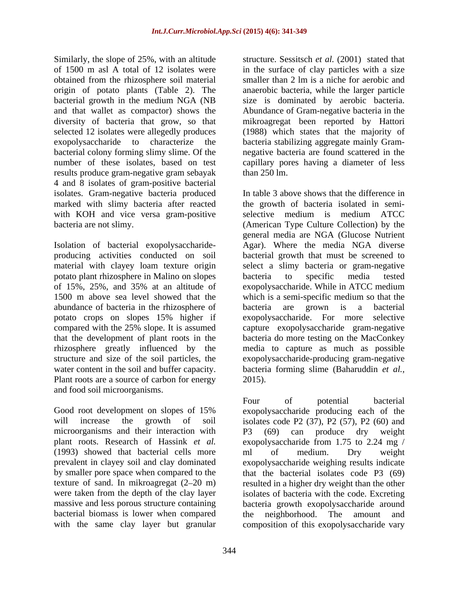Similarly, the slope of 25%, with an altitude of 1500 m asl A total of 12 isolates were in the surface of clay particles with a size obtained from the rhizosphere soil material smaller than 2 lm is a niche for aerobic and origin of potato plants (Table 2). The anaerobic bacteria, while the larger particle bacterial growth in the medium NGA (NB size is dominated by aerobic bacteria. and that wallet as compactor) shows the Abundance of Gram-negative bacteria in the diversity of bacteria that grow, so that mikroagregat been reported by Hattori selected 12 isolates were allegedly produces (1988) which states that the majority of exopolysaccharide to characterize the bacteria stabilizing aggregate mainly Gram bacterial colony forming slimy slime. Of the negative bacteria are found scattered in the number of these isolates, based on test capillary pores having a diameter of less results produce gram-negative gram sebayak 4 and 8 isolates of gram-positive bacterial isolates. Gram-negative bacteria produced

Isolation of bacterial exopolysaccharide potato plant rhizosphere in Malino on slopes abundance of bacteria in the rhizosphere of bacteria are grown is a bacterial potato crops on slopes 15% higher if Plant roots are a source of carbon for energy 2015). and food soil microorganisms.

microorganisms and their interaction with P3 (69) can produce dry weight (1993) showed that bacterial cells more ml of medium. Dry weight were taken from the depth of the clay layer bacterial biomass is lower when compared the neighborhood. The amount and

structure. Sessitsch *et al.* (2001) stated that smaller than 2 lm is a niche for aerobic and  $\frac{1}{250}$  lm.

marked with slimy bacteria after reacted the growth of bacteria isolated in semi with KOH and vice versa gram-positive selective medium is medium ATCC bacteria are not slimy. (American Type Culture Collection) by the producing activities conducted on soil bacterial growth that must be screened to material with clayey loam texture origin select a slimy bacteria or gram-negative of 15%, 25%, and 35% at an altitude of 1500 m above sea level showed that the which is a semi-specific medium so that the compared with the 25% slope. It is assumed capture exopolysaccharide gram-negative that the development of plant roots in the bacteria do more testing on the MacConkey rhizosphere greatly influenced by the media to capture as much as possible structure and size of the soil particles, the exopolysaccharide-producing gram-negative water content in the soil and buffer capacity. bacteria forming slime (Baharuddin *et al.,* In table 3 above shows that the difference in general media are NGA (Glucose Nutrient Agar). Where the media NGA diverse bacteria to specific media tested exopolysaccharide. While in ATCC medium bacteria are grown is a bacterial exopolysaccharide. For more 2015).

Good root development on slopes of 15% exopolysaccharide producing each of the will increase the growth of soil isolates code P2 (37), P2 (57), P2 (60) and plant roots. Research of Hassink *et al.* exopolysaccharide from 1.75 to 2.24 mg / prevalent in clayey soil and clay dominated exopolysaccharide weighing results indicate by smaller pore space when compared to the that the bacterial isolates code P3 (69) texture of sand. In mikroagregat (2–20 m) resulted in a higher dry weight than the other massive and less porous structure containing bacteria growth exopolysaccharide around with the same clay layer but granular composition of this exopolysaccharide varyFour of potential bacterial P3 (69) can produce dry weight ml of medium. Dry weight isolates of bacteria with the code. Excreting the neighborhood. The amount and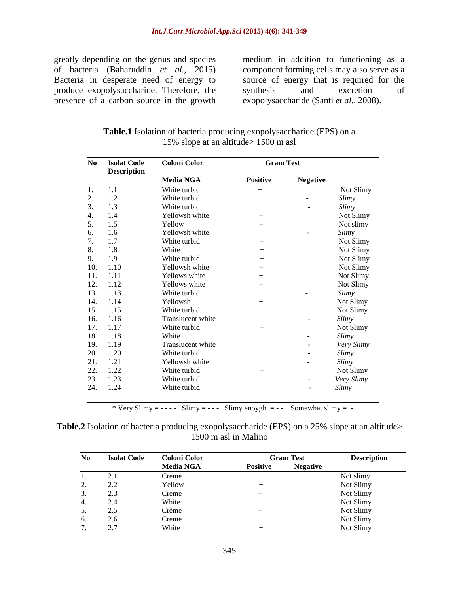greatly depending on the genus and species medium in addition to functioning as a produce exopolysaccharide. Therefore, the synthesis and excretion of presence of a carbon source in the growth

of bacteria (Baharuddin *et al.,* 2015) component forming cells may also serve as a Bacteria in desperate need of energy to source of energy that is required for the synthesis and excretion of exopolysaccharide (Santi *et al.,* 2008).

**Table.1** Isolation of bacteria producing exopolysaccharide (EPS) on a 15% slope at an altitude> 1500 m asl

| No  | <b>Isolat Code</b> | <b>Coloni Color</b> | <b>Gram Test</b> |                 |            |
|-----|--------------------|---------------------|------------------|-----------------|------------|
|     | <b>Description</b> | <b>Media NGA</b>    | Positive         | <b>Negative</b> |            |
|     | 1.1                | White turbid        | $+$              |                 | Not Slimy  |
| z.  | 1.2                | White turbid        |                  | $\sim$          | Slimy      |
|     | 1.3                | White turbid        |                  | $\sim$          | Slimy      |
|     | 1.4                | Yellowsh white      |                  |                 | Not Slimy  |
|     | 1.5                | Yellow              |                  |                 | Not slimy  |
| 6.  | 1.6                | Yellowsh white      |                  |                 | Slimy      |
| 7.  | 1.7                | White turbid        | $^{+}$           |                 | Not Slimy  |
| 8.  | 1.8                | White               |                  |                 | Not Slimy  |
| 9.  | 1.9                | White turbid        |                  |                 | Not Slimy  |
|     | 10. 1.10           | Yellowsh white      |                  |                 | Not Slimy  |
|     | 11. 1.11           | Yellows white       |                  |                 | Not Slimy  |
|     | 12. 1.12           | Yellows white       |                  |                 | Not Slimy  |
|     | 13. 1.13           | White turbid        |                  | $\sim$          | Slimy      |
|     | 14. 1.14           | Yellowsh            |                  |                 | Not Slimy  |
|     | $15. \quad 1.15$   | White turbid        |                  |                 | Not Slimy  |
|     | 16. 1.16           | Translucent white   |                  | $\sim$          | Slimy      |
|     | 17. 1.17           | White turbid        | $^{+}$           |                 | Not Slimy  |
|     | 18. 1.18           | White               |                  | $\sim$          | Slimy      |
|     | 19. 1.19           | Translucent white   |                  | $\sim$          | Very Slimy |
|     | 20. 1.20           | White turbid        |                  |                 | Slimy      |
|     | 21. 1.21           | Yellowsh white      |                  | $\sim$ $\sim$   | Slimy      |
| 22. | 1.22               | White turbid        | $^{+}$           |                 | Not Slimy  |
| 23. | 1.23               | White turbid        |                  |                 |            |
|     | 24. 1.24           |                     |                  | $\sim$          | Very Slimy |
|     |                    | White turbid        |                  | $\sim$          | Slimy      |

\* Very Slimy =  $--$  - Slimy =  $--$  - - Slimy enoygh =  $--$  Somewhat slimy =  $-$ 

**Table.2** Isolation of bacteria producing exopolysaccharide (EPS) on a 25% slope at an altitude> 1500 m asl in Malino

| No                       | <b>Isolat Code</b>                        | <b>Coloni Color</b> | <b>Gram Test</b> | <b>Description</b> |
|--------------------------|-------------------------------------------|---------------------|------------------|--------------------|
|                          |                                           | <b>Media NGA</b>    | <b>Positive</b>  | <b>Negative</b>    |
|                          |                                           | Creme               |                  | Not slimy          |
| $\overline{\phantom{a}}$ | $\sim$ $\sim$<br>$\overline{\phantom{a}}$ | Yellow              |                  | Not Slimy          |
|                          | ر . ب                                     | Creme               |                  | Not Slimy          |
|                          |                                           | White               |                  | Not Slimy          |
| ◡.                       | $\sim$ $\sim$<br>ر…                       | Crème               |                  | Not Slimy          |
|                          | $\sim \cdot$                              | Creme               |                  | Not Slimy          |
|                          | $\sim$ $-$                                | W <sub>hito</sub>   |                  | Not Slimy          |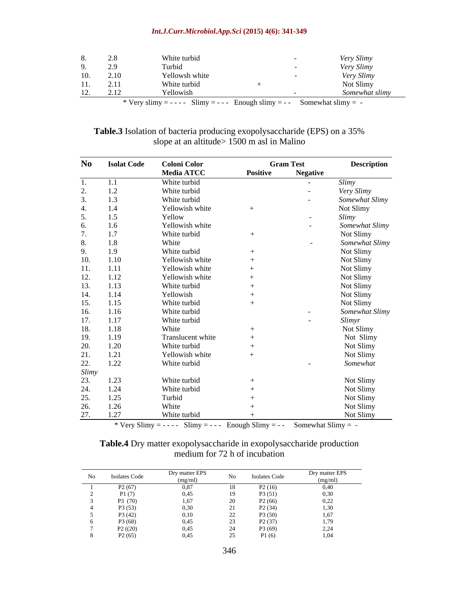## *Int.J.Curr.Microbiol.App.Sci* **(2015) 4(6): 341-349**

|     | 2.8                            | White turbid                                                               |  | /ery Slimy        |
|-----|--------------------------------|----------------------------------------------------------------------------|--|-------------------|
|     | 29<br>$\overline{\phantom{a}}$ | Turbid                                                                     |  | <i>Very Slimy</i> |
|     | 10. 2.10                       | Yellowsh white                                                             |  | Very Slimy        |
| 11. | 2.11                           | White turbid                                                               |  | Not Slimy         |
| 12. | 212<br>4.14                    | Yellowish                                                                  |  | omewhat slimy     |
|     |                                | * Very slimy = - - - - Slimy = - - - Enough slimy = - - Somewhat slimy = - |  |                   |

| <b>Table.3</b> Isolation of bacteria producing exopolysaccharide (EPS) on a 35% |  |  |
|---------------------------------------------------------------------------------|--|--|
| $1500 \text{ m}$ asl i<br>in Malino<br>e at an altıtude><br>slope.              |  |  |

| No             | <b>Isolat Code</b> | <b>Coloni Color</b> |          | <b>Gram Test</b>         | <b>Description</b> |
|----------------|--------------------|---------------------|----------|--------------------------|--------------------|
|                |                    | <b>Media ATCC</b>   | Positive | <b>Negative</b>          |                    |
|                | 1.1                | White turbid        |          | $\sim$ $-$               | Slimy              |
| 2.             | $1.2\,$            | White turbid        |          | $\sim$                   | Very Slimy         |
|                | 1.3                | White turbid        |          | $\sim$                   | Somewhat Slimy     |
| 4.             | $1.4$              | Yellowish white     |          |                          | Not Slimy          |
| 5.             | $1.5$              | Yellow              |          | $\sim$                   | Slimy              |
| 6.             | 1.6                | Yellowish white     |          | $\sim$                   | Somewhat Slimy     |
| $\overline{ }$ | 1.7                | White turbid        |          |                          | Not Slimy          |
| 8.             | $1.8\,$            | White               |          | $\overline{\phantom{0}}$ | Somewhat Slimy     |
| 9.             | 1.9                | White turbid        |          |                          | Not Slimy          |
| 10.            | 1.10               | Yellowish white     |          |                          | Not Slimy          |
| 11.            | 1.11               | Yellowish white     |          |                          | Not Slimy          |
| 12.            | 1.12               | Yellowish white     |          |                          | Not Slimy          |
| 13.            | 1.13               | White turbid        |          |                          | Not Slimy          |
| 14.            | 1.14               | Yellowish           |          |                          | Not Slimy          |
| 15.            | 1.15               | White turbid        |          |                          | Not Slimy          |
| 16.            | 1.16               | White turbid        |          | $\sim$ $-$               | Somewhat Slimy     |
| 17.            | 1.17               | White turbid        |          | $\sim$                   | Slimyr             |
| 18.            | 1.18               | White               |          |                          | Not Slimy          |
| 19.            | 1.19               | Translucent white   |          |                          | Not Slimy          |
| 20.            | 1.20               | White turbid        |          |                          | Not Slimy          |
| 21.            | 1.21               | Yellowish white     |          |                          | Not Slimy          |
| 22.            | 1.22               | White turbid        |          | $\sim$                   | Somewhat           |
| Slimy          |                    |                     |          |                          |                    |
| 23.            | 1.23               | White turbid        |          |                          | Not Slimy          |
| 24.            | 1.24               | White turbid        |          |                          | Not Slimy          |
| 25.            | 1.25               | Turbid              |          |                          | Not Slimy          |
| 26.            | 1.26               | White               |          |                          | Not Slimy          |
| 27.            | 1.27               | White turbid        |          |                          | Not Slimy          |

\* Very Slimy =  $--$  - Slimy =  $--$  Enough Slimy =  $--$  Somewhat Slimy =  $-$ 

| Table.4 Dry<br>y matter exopolysaccharide in exopolysaccharide production |  |
|---------------------------------------------------------------------------|--|
| mod1<br>incubation<br>$\sim$ n of $1^{\circ}$<br>wan                      |  |

| No | <b>Isolates Code</b>    | Dry matter EPS<br>$m\alpha/m$ | No     | <b>Isolates Code</b> | Dry matter EPS |
|----|-------------------------|-------------------------------|--------|----------------------|----------------|
|    | P <sub>2</sub> (67      | 0.87                          |        | P2(16)               | 0,40           |
|    | D <sub>1</sub>          | 0.45                          |        | P3 (51)              | 0,30           |
|    | P3 (70)                 | 1,67                          |        | P2(66)               | 0,22           |
|    | P3(53)                  | 0a<br>U,JI                    |        | P <sub>2</sub> (34)  | 1,30           |
|    | P3(42)                  | 0.10                          |        | P3 (50)              | 1.67           |
|    | P3 (68)                 | 0.47                          | $\sim$ | P <sub>2</sub> (37)  | 1,79           |
|    | P2((20)                 | 0.45                          |        | P3 (69)              | 221            |
|    | P2(65)<br>$1 \angle 10$ |                               |        | P1(6)                | 1,04           |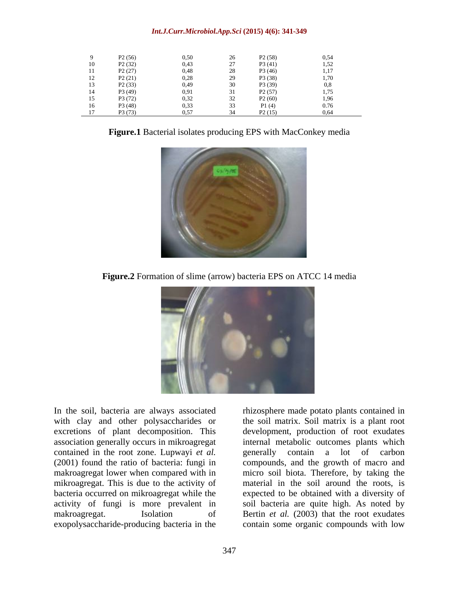## *Int.J.Curr.Microbiol.App.Sci* **(2015) 4(6): 341-349**

|    | P <sub>2</sub> (56) | 0,50 | 26        | P2(58)              | 0,54 |
|----|---------------------|------|-----------|---------------------|------|
| 10 | P <sub>2</sub> (32) | 0,43 | 27        | P3(41)              | 1,52 |
| 11 | P2(27)              | 0,48 | 28        | P3 (46)             | 1,17 |
| 12 | P2(21)              | 0,28 | 29        | P3 (38)             | 1,70 |
| 13 | P2(33)              | 0,49 | 30        | P3 (39)             |      |
| 14 | P3 (49)             | 0,91 |           | P2(57)              | 1,75 |
| 15 | P3 (72)             | 0,32 | 32<br>$-$ | P <sub>2</sub> (60) | 1,96 |
| 16 | P3 (48)<br>P3 (73)  | 0,33 | 33<br>--  | P1(4)               | 0.76 |
| 17 |                     | 0.57 | 34        | P2(15)              | 0,64 |

**Figure.1** Bacterial isolates producing EPS with MacConkey media



**Figure.2** Formation of slime (arrow) bacteria EPS on ATCC 14 media



contained in the root zone. Lupwayi *et al.*

In the soil, bacteria are always associated rhizosphere made potato plants contained in with clay and other polysaccharides or the soil matrix. Soil matrix is a plant root excretions of plant decomposition. This development, production of root exudates association generally occurs in mikroagregat internal metabolic outcomes plants which (2001) found the ratio of bacteria: fungi in compounds, and the growth of macro and makroagregat lower when compared with in micro soil biota. Therefore, by taking the mikroagregat. This is due to the activity of material in the soil around the roots, is bacteria occurred on mikroagregat while the expected to be obtained with a diversity of activity of fungi is more prevalent in soil bacteria are quite high. As noted by makroagregat. Isolation of Bertin *et al.* (2003) that the root exudates exopolysaccharide-producing bacteria in the contain some organic compounds with lowgenerally contain a lot of carbon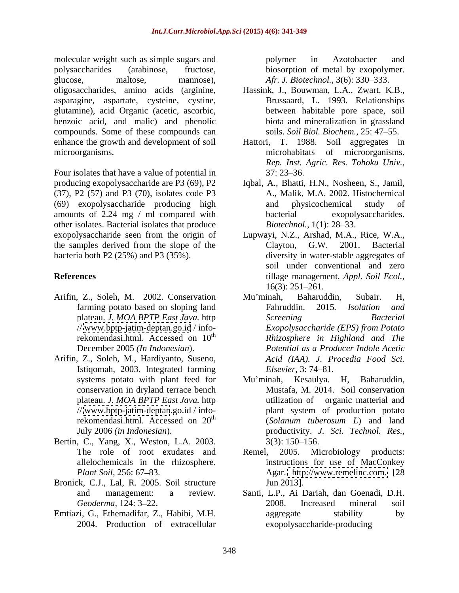molecular weight such as simple sugars and  $polymer$  in Azotobacter and polysaccharides (arabinose, fructose, biosorption of metal by exopolymer. glucose, maltose, mannose), *Afr. J. Biotechnol.,* 3(6): 330 333. asparagine, aspartate, cysteine, cystine, glutamine), acid Organic (acetic, ascorbic, benzoic acid, and malic) and phenolic compounds. Some of these compounds can enhance the growth and development of soil

Four isolates that have a value of potential in 37: 23–36. producing exopolysaccharide are P3 (69), P2 Iqbal, A., Bhatti, H.N., Nosheen, S., Jamil, (37), P2 (57) and P3 (70), isolates code P3 (69) exopolysaccharide producing high amounts of 2.24 mg / ml compared with bacterial other isolates. Bacterial isolates that produce *Biotechnol.*, 1(1): 28–33. exopolysaccharide seen from the origin of Lupwayi, N.Z., Arshad, M.A., Rice, W.A., the samples derived from the slope of the Clayton, G.W. 2001. Bacterial

- Arifin, Z., Soleh, M. 2002. Conservation Mu'minah, Baharuddin, Subair. H, // [www.bptp-jatim-deptan.go.id](http://www.bptp-jatim-deptan.go.id) / info-<br>rekomendasi.html. Accessed on  $10^{th}$
- Arifin, Z., Soleh, M., Hardiyanto, Suseno, Istiqomah, 2003. Integrated farming conservation in dryland terrace bench // [www.bptp-jatim-deptan](http://www.bptp-jatim-deptan).go.id / info-
- Bertin, C., Yang, X., Weston, L.A. 2003. 3(3): 150–156. The role of root exudates and Remel,
- Bronick, C.J., Lal, R. 2005. Soil structure Jun 2013].
- Emtiazi, G., Ethemadifar, Z., Habibi, M.H. 2004. Production of extracellular

polymer in Azotobacter and

- oligosaccharides, amino acids (arginine, Hassink, J., Bouwman, L.A., Zwart, K.B., Brussaard, L. 1993. Relationships between habitable pore space, soil biota and mineralization in grassland soils. *Soil Biol. Biochem.,* 25: 47 55.
- microorganisms. microhabitats of microorganisms. T. 1988. Soil aggregates in *Rep. Inst. Agric. Res. Tohoku Univ.,*  $37: 23 - 36.$ 
	- A., Malik, M.A. 2002. Histochemical and physicochemical study of exopolysaccharides. *Biotechnol.,* 1(1): 28–33.
- bacteria both P2 (25%) and P3 (35%). diversity in water-stable aggregates of **References** tillage management. *Appl. Soil Ecol.,* Clayton, G.W. 2001. Bacterial soil under conventional and zero  $16(3)$ : 251–261.
	- farming potato based on sloping land Fahruddin. 2015. Isolation and plateau. *J. MOA BPTP East Java.* http rekomendasi.html. Accessed on 10<sup>th</sup> *Rhizosphere in Highland and The* December 2005 *(In Indonesian*). *Potential as a Producer Indole Acetic* Mu minah, Baharuddin, Subair. H, Fahruddin. 2015*. Isolation and Screening Bacterial Exopolysaccharide (EPS) from Potato Acid (IAA). J. Procedia Food Sci. Elsevier,* 3:74–81.
	- systems potato with plant feed for Mu'minah, Kesaulya. H, Baharuddin, plateau. *J. MOA BPTP East Java.* http utilization of organic matterial and rekomendasi.html. Accessed on  $20<sup>th</sup>$  (Solanum tuberosum L) and land July 2006 *(in Indonesian*). productivity. *J. Sci. Technol. Res.,* Mu minah, Kesaulya. H, Baharuddin, Mustafa, M. 2014. Soil conservation plant system of production potato (*Solanum tuberosum L*) and land  $3(3)$ : 150–156.
	- allelochemicals in the rhizosphere. instructions for use of MacConkey *Plant Soil, 256: 67–83.* Agar. [http://www.remelinc.com.](http://www.remelinc.com) [28] 2005. Microbiology products: Jun 2013].
	- and management: a review. Santi, L.P., Ai Dariah, dan Goenadi, D.H. *Geoderma,* 124: 3 22. 2008. Increased mineral soil aggregate stability by exopolysaccharide-producing